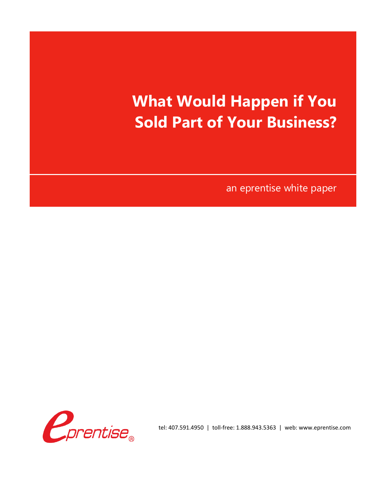## **What Would Happen if You Sold Part of Your Business?**

an eprentise white paper



tel: 407.591.4950 | toll-free: 1.888.943.5363 | web: www.eprentise.com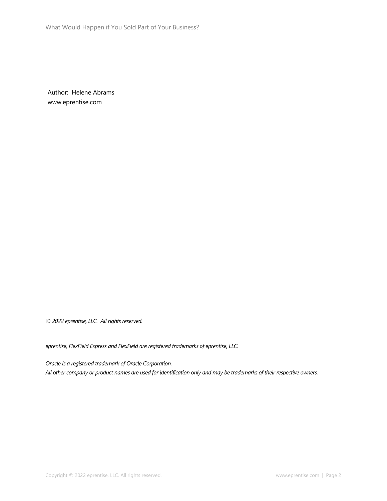What Would Happen if You Sold Part of Your Business?

Author: Helene Abrams www.eprentise.com

*© 2022 eprentise, LLC. All rights reserved.*

*eprentise, FlexField Express and FlexField are registered trademarks of eprentise, LLC.*

*Oracle is a registered trademark of Oracle Corporation. All other company or product names are used for identification only and may be trademarks of their respective owners.*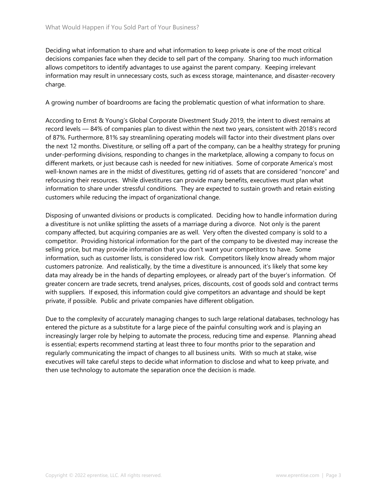Deciding what information to share and what information to keep private is one of the most critical decisions companies face when they decide to sell part of the company. Sharing too much information allows competitors to identify advantages to use against the parent company. Keeping irrelevant information may result in unnecessary costs, such as excess storage, maintenance, and disaster-recovery charge.

A growing number of boardrooms are facing the problematic question of what information to share.

According to Ernst & Young's Global Corporate Divestment Study 2019, the intent to divest remains at record levels — 84% of companies plan to divest within the next two years, consistent with 2018's record of 87%. Furthermore, 81% say streamlining operating models will factor into their divestment plans over the next 12 months. Divestiture, or selling off a part of the company, can be a healthy strategy for pruning under-performing divisions, responding to changes in the marketplace, allowing a company to focus on different markets, or just because cash is needed for new initiatives. Some of corporate America's most well-known names are in the midst of divestitures, getting rid of assets that are considered "noncore" and refocusing their resources. While divestitures can provide many benefits, executives must plan what information to share under stressful conditions. They are expected to sustain growth and retain existing customers while reducing the impact of organizational change.

Disposing of unwanted divisions or products is complicated. Deciding how to handle information during a divestiture is not unlike splitting the assets of a marriage during a divorce. Not only is the parent company affected, but acquiring companies are as well. Very often the divested company is sold to a competitor. Providing historical information for the part of the company to be divested may increase the selling price, but may provide information that you don't want your competitors to have. Some information, such as customer lists, is considered low risk. Competitors likely know already whom major customers patronize. And realistically, by the time a divestiture is announced, it's likely that some key data may already be in the hands of departing employees, or already part of the buyer's information. Of greater concern are trade secrets, trend analyses, prices, discounts, cost of goods sold and contract terms with suppliers. If exposed, this information could give competitors an advantage and should be kept private, if possible. Public and private companies have different obligation.

Due to the complexity of accurately managing changes to such large relational databases, technology has entered the picture as a substitute for a large piece of the painful consulting work and is playing an increasingly larger role by helping to automate the process, reducing time and expense. Planning ahead is essential; experts recommend starting at least three to four months prior to the separation and regularly communicating the impact of changes to all business units. With so much at stake, wise executives will take careful steps to decide what information to disclose and what to keep private, and then use technology to automate the separation once the decision is made.